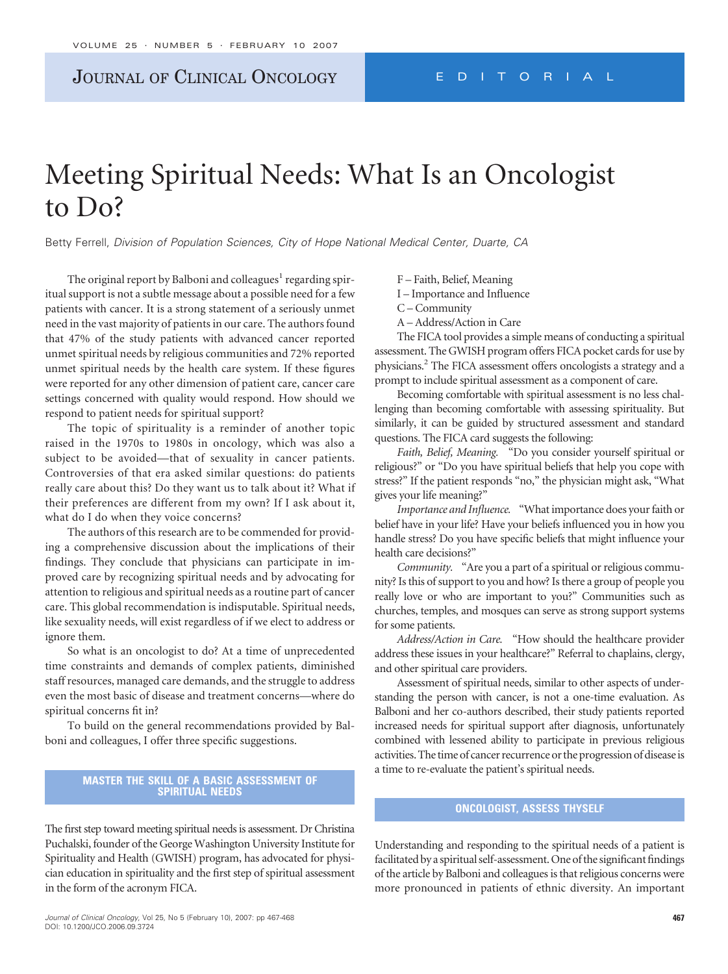JOURNAL OF CLINICAL ONCOLOGY EDITORIAL

# Meeting Spiritual Needs: What Is an Oncologist to Do?

Betty Ferrell, *Division of Population Sciences, City of Hope National Medical Center, Duarte, CA*

The original report by Balboni and colleagues<sup>1</sup> regarding spiritual support is not a subtle message about a possible need for a few patients with cancer. It is a strong statement of a seriously unmet need in the vast majority of patients in our care. The authors found that 47% of the study patients with advanced cancer reported unmet spiritual needs by religious communities and 72% reported unmet spiritual needs by the health care system. If these figures were reported for any other dimension of patient care, cancer care settings concerned with quality would respond. How should we respond to patient needs for spiritual support?

The topic of spirituality is a reminder of another topic raised in the 1970s to 1980s in oncology, which was also a subject to be avoided—that of sexuality in cancer patients. Controversies of that era asked similar questions: do patients really care about this? Do they want us to talk about it? What if their preferences are different from my own? If I ask about it, what do I do when they voice concerns?

The authors of this research are to be commended for providing a comprehensive discussion about the implications of their findings. They conclude that physicians can participate in improved care by recognizing spiritual needs and by advocating for attention to religious and spiritual needs as a routine part of cancer care. This global recommendation is indisputable. Spiritual needs, like sexuality needs, will exist regardless of if we elect to address or ignore them.

So what is an oncologist to do? At a time of unprecedented time constraints and demands of complex patients, diminished staff resources, managed care demands, and the struggle to address even the most basic of disease and treatment concerns—where do spiritual concerns fit in?

To build on the general recommendations provided by Balboni and colleagues, I offer three specific suggestions.

## **MASTER THE SKILL OF A BASIC ASSESSMENT OF SPIRITUAL NEEDS**

The first step toward meeting spiritual needs is assessment. Dr Christina Puchalski, founder of the George Washington University Institute for Spirituality and Health (GWISH) program, has advocated for physician education in spirituality and the first step of spiritual assessment in the form of the acronym FICA.

- F Faith, Belief, Meaning
- I Importance and Influence
- C Community
- A Address/Action in Care

The FICA tool provides a simple means of conducting a spiritual assessment. The GWISH program offers FICA pocket cards for use by physicians.2 The FICA assessment offers oncologists a strategy and a prompt to include spiritual assessment as a component of care.

Becoming comfortable with spiritual assessment is no less challenging than becoming comfortable with assessing spirituality. But similarly, it can be guided by structured assessment and standard questions. The FICA card suggests the following:

*Faith, Belief, Meaning.* "Do you consider yourself spiritual or religious?" or "Do you have spiritual beliefs that help you cope with stress?" If the patient responds "no," the physician might ask, "What gives your life meaning?"

*Importance and Influence.* "What importance does your faith or belief have in your life? Have your beliefs influenced you in how you handle stress? Do you have specific beliefs that might influence your health care decisions?"

*Community.* "Are you a part of a spiritual or religious community? Is this of support to you and how? Is there a group of people you really love or who are important to you?" Communities such as churches, temples, and mosques can serve as strong support systems for some patients.

*Address/Action in Care.* "How should the healthcare provider address these issues in your healthcare?" Referral to chaplains, clergy, and other spiritual care providers.

Assessment of spiritual needs, similar to other aspects of understanding the person with cancer, is not a one-time evaluation. As Balboni and her co-authors described, their study patients reported increased needs for spiritual support after diagnosis, unfortunately combined with lessened ability to participate in previous religious activities. The time of cancer recurrence or the progression of disease is a time to re-evaluate the patient's spiritual needs.

## **ONCOLOGIST, ASSESS THYSELF**

Understanding and responding to the spiritual needs of a patient is facilitated by a spiritual self-assessment. One of the significant findings of the article by Balboni and colleagues is that religious concerns were more pronounced in patients of ethnic diversity. An important